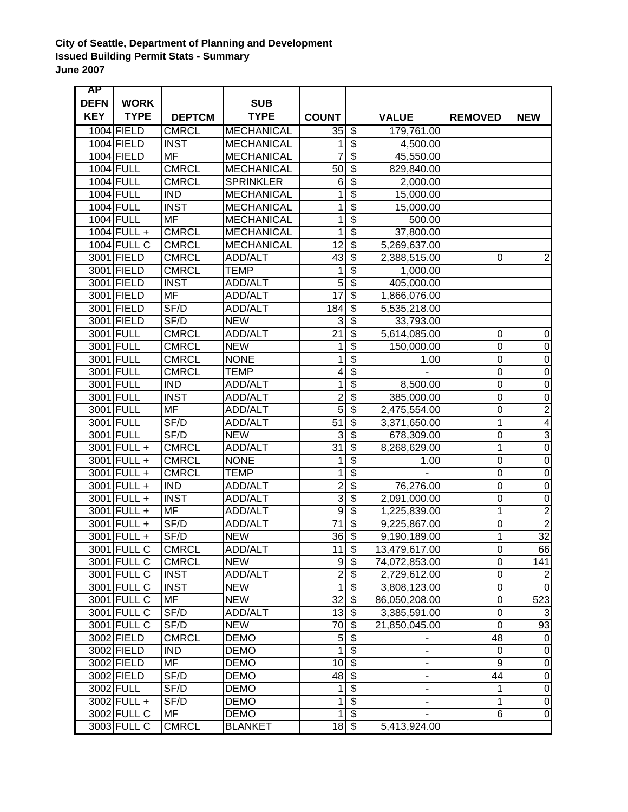## **City of Seattle, Department of Planning and Development Issued Building Permit Stats - Summary June 2007**

| <b>AP</b>   |               |                          |                   |                                |                                        |                          |                  |                         |
|-------------|---------------|--------------------------|-------------------|--------------------------------|----------------------------------------|--------------------------|------------------|-------------------------|
| <b>DEFN</b> | <b>WORK</b>   |                          | <b>SUB</b>        |                                |                                        |                          |                  |                         |
| <b>KEY</b>  | <b>TYPE</b>   | <b>DEPTCM</b>            | <b>TYPE</b>       | <b>COUNT</b>                   |                                        | <b>VALUE</b>             | <b>REMOVED</b>   | <b>NEW</b>              |
|             | 1004 FIELD    | <b>CMRCL</b>             | <b>MECHANICAL</b> | 35                             | $\overline{\mathcal{F}}$               | 179,761.00               |                  |                         |
|             | 1004 FIELD    | <b>INST</b>              | <b>MECHANICAL</b> | 1                              | $\overline{\mathbf{3}}$                | 4,500.00                 |                  |                         |
|             | 1004 FIELD    | <b>MF</b>                | <b>MECHANICAL</b> | 7                              | $\overline{\$}$                        | 45,550.00                |                  |                         |
|             | 1004 FULL     | <b>CMRCL</b>             | <b>MECHANICAL</b> | 50                             | $\overline{\$}$                        | 829,840.00               |                  |                         |
|             | 1004 FULL     | <b>CMRCL</b>             | <b>SPRINKLER</b>  | 6                              | $\overline{\boldsymbol{\mathfrak{s}}}$ | 2,000.00                 |                  |                         |
|             | 1004 FULL     | <b>IND</b>               | <b>MECHANICAL</b> | 1                              | $\overline{\$}$                        | 15,000.00                |                  |                         |
|             | 1004 FULL     | <b>INST</b>              | <b>MECHANICAL</b> | 1                              | $\overline{\$}$                        | 15,000.00                |                  |                         |
|             | 1004 FULL     | <b>MF</b>                | <b>MECHANICAL</b> | 1                              | $\overline{\$}$                        | 500.00                   |                  |                         |
|             | $1004$ FULL + | <b>CMRCL</b>             | <b>MECHANICAL</b> | 1                              | $\overline{\boldsymbol{\theta}}$       | 37,800.00                |                  |                         |
|             | $1004$ FULL C | <b>CMRCL</b>             | <b>MECHANICAL</b> | 12                             | $\overline{\mathcal{S}}$               | 5,269,637.00             |                  |                         |
|             | 3001 FIELD    | <b>CMRCL</b>             | <b>ADD/ALT</b>    | 43                             | $\overline{\$}$                        | 2,388,515.00             | 0                | $\overline{\mathbf{c}}$ |
|             | 3001 FIELD    | <b>CMRCL</b>             | <b>TEMP</b>       | 1                              | $\overline{\mathcal{S}}$               | 1,000.00                 |                  |                         |
|             | 3001 FIELD    | <b>INST</b>              | <b>ADD/ALT</b>    | $\overline{5}$                 | $\overline{\$}$                        | 405,000.00               |                  |                         |
|             | 3001 FIELD    | <b>MF</b>                | ADD/ALT           | $\overline{17}$                | $\overline{\$}$                        | 1,866,076.00             |                  |                         |
|             | 3001 FIELD    | SF/D                     | <b>ADD/ALT</b>    | 184                            | $\overline{\boldsymbol{\mathfrak{s}}}$ | 5,535,218.00             |                  |                         |
|             | 3001 FIELD    | SF/D                     | <b>NEW</b>        | 3                              | $\overline{\$}$                        | 33,793.00                |                  |                         |
|             | 3001 FULL     | <b>CMRCL</b>             | <b>ADD/ALT</b>    | $\overline{21}$                | $\overline{\$}$                        | 5,614,085.00             | 0                | $\mathbf 0$             |
|             | 3001 FULL     | <b>CMRCL</b>             | <b>NEW</b>        | 1                              | $\overline{\$}$                        | 150,000.00               | $\mathbf 0$      | $\mathbf 0$             |
|             | 3001 FULL     | <b>CMRCL</b>             | <b>NONE</b>       | 1                              | $\overline{\$}$                        | 1.00                     | $\overline{0}$   | $\overline{0}$          |
|             | 3001 FULL     | <b>CMRCL</b>             | <b>TEMP</b>       | 4                              | $\overline{\mathcal{E}}$               |                          | $\overline{0}$   | $\overline{0}$          |
|             | 3001 FULL     | <b>IND</b>               | <b>ADD/ALT</b>    | 1                              | $\overline{\$}$                        | 8,500.00                 | $\mathbf 0$      | $\overline{0}$          |
|             | 3001 FULL     | <b>INST</b>              | ADD/ALT           | $\overline{c}$                 | $\overline{\$}$                        | 385,000.00               | $\mathbf 0$      | $\overline{0}$          |
|             | 3001 FULL     | <b>MF</b>                | ADD/ALT           | $\overline{5}$                 | $\overline{\$}$                        | 2,475,554.00             | $\mathbf 0$      | $\overline{2}$          |
|             | 3001 FULL     | SF/D                     | <b>ADD/ALT</b>    | $\overline{51}$                | $\overline{\boldsymbol{\mathfrak{s}}}$ | 3,371,650.00             | $\mathbf 1$      | $\overline{4}$          |
|             | 3001 FULL     | SF/D                     | <b>NEW</b>        | 3                              | $\overline{\mathbf{3}}$                | 678,309.00               | $\mathbf 0$      | $\overline{3}$          |
|             | 3001 FULL +   | <b>CMRCL</b>             | ADD/ALT           | $\overline{31}$                | $\overline{\$}$                        | 8,268,629.00             | $\mathbf{1}$     | $\overline{0}$          |
|             | 3001 FULL +   | <b>CMRCL</b>             | <b>NONE</b>       | 1                              | $\overline{\$}$                        | 1.00                     | $\mathbf 0$      | $\boldsymbol{0}$        |
|             | 3001 FULL +   | <b>CMRCL</b>             | <b>TEMP</b>       | 1                              | $\overline{\$}$                        |                          | $\mathbf 0$      | $\mathbf 0$             |
|             | 3001 FULL +   | <b>IND</b>               | <b>ADD/ALT</b>    | $\overline{2}$                 | $\overline{\$}$                        | 76,276.00                | $\overline{0}$   | $\overline{0}$          |
|             | 3001 FULL +   | <b>INST</b>              | <b>ADD/ALT</b>    | $\overline{3}$                 | $\overline{\mathcal{E}}$               | 2,091,000.00             | $\overline{0}$   | $\overline{0}$          |
|             | 3001 FULL +   | <b>MF</b>                | ADD/ALT           | $\overline{9}$                 | $\overline{\mathcal{E}}$               | 1,225,839.00             | $\mathbf{1}$     | $\overline{2}$          |
|             | 3001 FULL +   | SF/D                     | <b>ADD/ALT</b>    | 71                             | \$                                     | 9,225,867.00             | $\mathbf 0$      | $\overline{2}$          |
|             | 3001 FULL +   | SF/D                     | <b>NEW</b>        | 36                             | $\overline{\mathbf{s}}$                | 9,190,189.00             | $\mathbf 1$      | 32                      |
|             | 3001 FULL C   | <b>CMRCL</b>             | ADD/ALT           | 11   \$                        |                                        | 13,479,617.00            | 0                | 66                      |
|             | 3001 FULL C   | <b>CMRCL</b>             | <b>NEW</b>        | 9                              | $\sqrt[6]{3}$                          | 74,072,853.00            | $\boldsymbol{0}$ | 141                     |
|             | 3001 FULL C   | <b>INST</b>              | ADD/ALT           | $\overline{\mathbf{c}}$        | $\boldsymbol{\mathsf{S}}$              | 2,729,612.00             | $\pmb{0}$        | $\overline{\mathbf{c}}$ |
|             | 3001 FULL C   | <b>INST</b>              | <b>NEW</b>        | 1                              | \$                                     | 3,808,123.00             | $\mathbf 0$      | $\mathbf 0$             |
|             | 3001 FULL C   | MF                       | <b>NEW</b>        | 32                             | $\boldsymbol{\mathsf{S}}$              | 86,050,208.00            | $\pmb{0}$        | 523                     |
|             | 3001 FULL C   | SF/D                     | ADD/ALT           | $13 \overline{\smash{\big)} }$ |                                        | 3,385,591.00             | $\boldsymbol{0}$ | 3                       |
|             | 3001 FULL C   | SF/D                     | <b>NEW</b>        | 70                             | န                                      | 21,850,045.00            | $\mathbf 0$      | 93                      |
|             | 3002 FIELD    | <b>CMRCL</b>             | <b>DEMO</b>       |                                | $5 \overline{\$}$                      |                          | 48               | $\mathbf 0$             |
|             | 3002 FIELD    | <b>IND</b>               | <b>DEMO</b>       | $\mathbf{1}$                   | $\overline{\mathcal{S}}$               | $\overline{\phantom{0}}$ | $\boldsymbol{0}$ | $\mathbf 0$             |
|             | 3002 FIELD    | $\overline{\mathsf{MF}}$ | <b>DEMO</b>       | 10                             | $\overline{\mathcal{S}}$               |                          | 9                | $\overline{0}$          |
|             | 3002 FIELD    | SF/D                     | <b>DEMO</b>       | $48 \, 3$                      |                                        |                          | 44               | $\overline{0}$          |
|             | 3002 FULL     | SF/D                     | <b>DEMO</b>       | 1                              | $\overline{\mathcal{S}}$               | $\overline{\phantom{a}}$ | $\mathbf{1}$     | $\overline{0}$          |
|             | $3002$ FULL + | SF/D                     | <b>DEMO</b>       | $\mathbf{1}$                   | $\overline{\mathcal{S}}$               |                          | $\mathbf{1}$     | $\overline{0}$          |
|             | 3002 FULL C   | <b>MF</b>                | <b>DEMO</b>       | 1                              | $\overline{\mathcal{S}}$               |                          | 6                | $\overline{0}$          |
|             | 3003 FULL C   | <b>CMRCL</b>             | <b>BLANKET</b>    | $18$ \$                        |                                        | 5,413,924.00             |                  |                         |